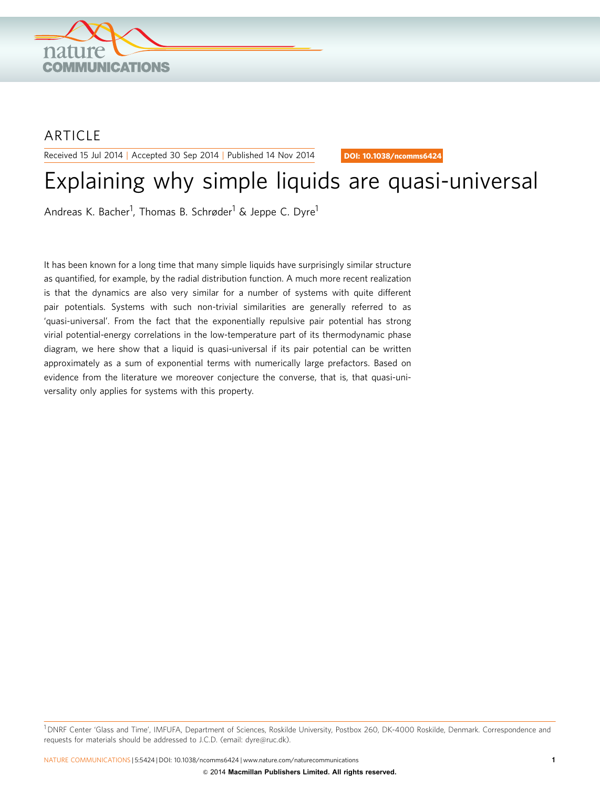

## ARTICLE

Received 15 Jul 2014 | Accepted 30 Sep 2014 | Published 14 Nov 2014

DOI: 10.1038/ncomms6424

# Explaining why simple liquids are quasi-universal

Andreas K. Bacher<sup>1</sup>, Thomas B. Schrøder<sup>1</sup> & Jeppe C. Dyre<sup>1</sup>

It has been known for a long time that many simple liquids have surprisingly similar structure as quantified, for example, by the radial distribution function. A much more recent realization is that the dynamics are also very similar for a number of systems with quite different pair potentials. Systems with such non-trivial similarities are generally referred to as 'quasi-universal'. From the fact that the exponentially repulsive pair potential has strong virial potential-energy correlations in the low-temperature part of its thermodynamic phase diagram, we here show that a liquid is quasi-universal if its pair potential can be written approximately as a sum of exponential terms with numerically large prefactors. Based on evidence from the literature we moreover conjecture the converse, that is, that quasi-universality only applies for systems with this property.

<sup>1</sup> DNRF Center 'Glass and Time', IMFUFA, Department of Sciences, Roskilde University, Postbox 260, DK-4000 Roskilde, Denmark. Correspondence and requests for materials should be addressed to J.C.D. (email: [dyre@ruc.dk](mailto:dyre@ruc.dk)).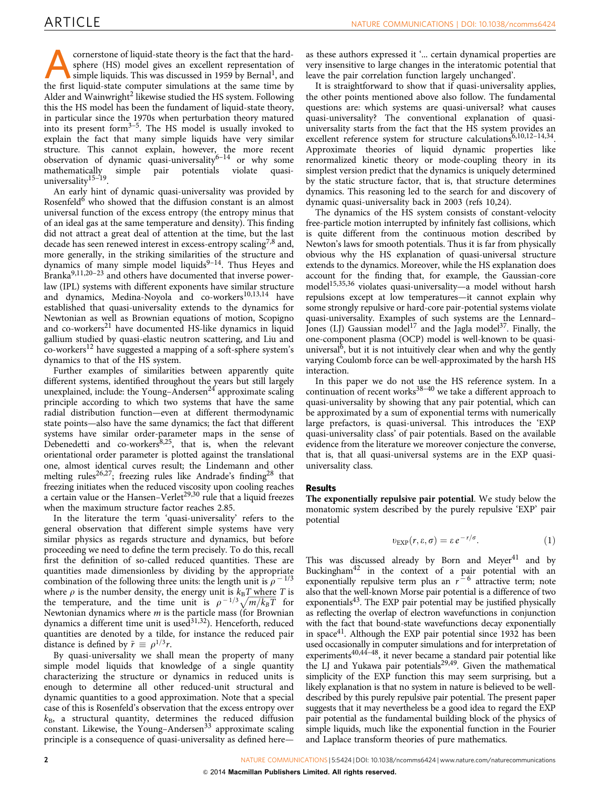cornerstone of liquid-state theory is the fact that the hard-<br>simple liquids. This was discussed in [1](#page-5-0)959 by Bernal<sup>1</sup>, and<br>the first liquid-state computer simulations at the same time by sphere (HS) model gives an excellent representation of the first liquid-state computer simulations at the same time by Alder and Wainwright<sup>[2](#page-5-0)</sup> likewise studied the HS system. Following this the HS model has been the fundament of liquid-state theory, in particular since the 1970s when perturbation theory matured into its present form $3-5$ . The HS model is usually invoked to explain the fact that many simple liquids have very similar structure. This cannot explain, however, the more recent observation of dynamic quasi-universality $6^{-14}$  or why some mathematically simple pair potentials violate quasipotentials violate universality<sup>15–19</sup>.

An early hint of dynamic quasi-universality was provided by Rosenfeld<sup>[6](#page-5-0)</sup> who showed that the diffusion constant is an almost universal function of the excess entropy (the entropy minus that of an ideal gas at the same temperature and density). This finding did not attract a great deal of attention at the time, but the last decade has seen renewed interest in excess-entropy scaling<sup>7,8</sup> and, more generally, in the striking similarities of the structure and dynamics of many simple model liquids<sup>9-14</sup>. Thus Heyes and Branka<sup>9,11,20-23</sup> and others have documented that inverse powerlaw (IPL) systems with different exponents have similar structure and dynamics, Medina-Noyola and co-workers<sup>[10,13,14](#page-5-0)</sup> have established that quasi-universality extends to the dynamics for Newtonian as well as Brownian equations of motion, Scopigno and co-workers<sup>[21](#page-5-0)</sup> have documented HS-like dynamics in liquid gallium studied by quasi-elastic neutron scattering, and Liu and co-workers[12](#page-5-0) have suggested a mapping of a soft-sphere system's dynamics to that of the HS system.

Further examples of similarities between apparently quite different systems, identified throughout the years but still largely unexplained, include: the Young–Andersen<sup>24</sup> approximate scaling principle according to which two systems that have the same radial distribution function—even at different thermodynamic state points—also have the same dynamics; the fact that different systems have similar order-parameter maps in the sense of Debenedetti and  $\cos$ -workers<sup>8,25</sup>, that is, when the relevant orientational order parameter is plotted against the translational one, almost identical curves result; the Lindemann and other melting rules<sup>26,27</sup>; freezing rules like Andrade's finding<sup>[28](#page-5-0)</sup> that freezing initiates when the reduced viscosity upon cooling reaches a certain value or the Hansen–Verlet<sup>29,30</sup> rule that a liquid freezes when the maximum structure factor reaches 2.85.

In the literature the term 'quasi-universality' refers to the general observation that different simple systems have very similar physics as regards structure and dynamics, but before proceeding we need to define the term precisely. To do this, recall first the definition of so-called reduced quantities. These are quantities made dimensionless by dividing by the appropriate combination of the following three units: the length unit is  $\rho$  - 1/3 where  $\rho$  is the number density, the energy unit is  $k_BT$  where T is where  $\rho$  is the number density, the energy unit is  $\kappa_B T$  where  $T$  is the temperature, and the time unit is  $\rho^{-1/3} \sqrt{m/k_B T}$  for Newtonian dynamics where m is the particle mass (for Brownian dynamics a different time unit is used $31,32$ ). Henceforth, reduced quantities are denoted by a tilde, for instance the reduced pair distance is defined by  $\tilde{r} \equiv \rho^{1/3}r$ .

By quasi-universality we shall mean the property of many simple model liquids that knowledge of a single quantity characterizing the structure or dynamics in reduced units is enough to determine all other reduced-unit structural and dynamic quantities to a good approximation. Note that a special case of this is Rosenfeld's observation that the excess entropy over  $k_B$ , a structural quantity, determines the reduced diffusion constant. Likewise, the Young-Andersen<sup>[33](#page-5-0)</sup> approximate scaling principle is a consequence of quasi-universality as defined here—

as these authors expressed it '... certain dynamical properties are very insensitive to large changes in the interatomic potential that leave the pair correlation function largely unchanged'.

It is straightforward to show that if quasi-universality applies, the other points mentioned above also follow. The fundamental questions are: which systems are quasi-universal? what causes quasi-universality? The conventional explanation of quasiuniversality starts from the fact that the HS system provides an excellent reference system for structure calculations<sup>6,10,12-14,34</sup>. Approximate theories of liquid dynamic properties like renormalized kinetic theory or mode-coupling theory in its simplest version predict that the dynamics is uniquely determined by the static structure factor, that is, that structure determines dynamics. This reasoning led to the search for and discovery of dynamic quasi-universality back in 2003 [\(refs 10,24](#page-5-0)).

The dynamics of the HS system consists of constant-velocity free-particle motion interrupted by infinitely fast collisions, which is quite different from the continuous motion described by Newton's laws for smooth potentials. Thus it is far from physically obvious why the HS explanation of quasi-universal structure extends to the dynamics. Moreover, while the HS explanation does account for the finding that, for example, the Gaussian-core mode[l15,35,36](#page-5-0) violates quasi-universality—a model without harsh repulsions except at low temperatures—it cannot explain why some strongly repulsive or hard-core pair-potential systems violate quasi-universality. Examples of such systems are the Lennard– Jones (LJ) Gaussian model<sup>[17](#page-5-0)</sup> and the Jagla model<sup>[37](#page-5-0)</sup>. Finally, the one-component plasma (OCP) model is well-known to be quasiuniversal $\bar{6}$ , but it is not intuitively clear when and why the gently varying Coulomb force can be well-approximated by the harsh HS interaction.

In this paper we do not use the HS reference system. In a continuation of recent works $38-40$  we take a different approach to quasi-universality by showing that any pair potential, which can be approximated by a sum of exponential terms with numerically large prefactors, is quasi-universal. This introduces the 'EXP quasi-universality class' of pair potentials. Based on the available evidence from the literature we moreover conjecture the converse, that is, that all quasi-universal systems are in the EXP quasiuniversality class.

### Results

The exponentially repulsive pair potential. We study below the monatomic system described by the purely repulsive 'EXP' pair potential

$$
v_{\rm EXP}(r,\varepsilon,\sigma) = \varepsilon \, e^{-\,r/\sigma}.\tag{1}
$$

This was discussed already by Born and Meyer $41$  and by Buckingha[m42](#page-6-0) in the context of a pair potential with an exponentially repulsive term plus an  $r^{-6}$  attractive term; note also that the well-known Morse pair potential is a difference of two exponential[s43](#page-6-0). The EXP pair potential may be justified physically as reflecting the overlap of electron wavefunctions in conjunction with the fact that bound-state wavefunctions decay exponentially in space<sup>41</sup>. Although the EXP pair potential since 1932 has been used occasionally in computer simulations and for interpretation of experiments<sup>40,44-48</sup>, it never became a standard pair potential like the LJ and Yukawa pair potentials<sup>[29,49](#page-5-0)</sup>. Given the mathematical simplicity of the EXP function this may seem surprising, but a likely explanation is that no system in nature is believed to be welldescribed by this purely repulsive pair potential. The present paper suggests that it may nevertheless be a good idea to regard the EXP pair potential as the fundamental building block of the physics of simple liquids, much like the exponential function in the Fourier and Laplace transform theories of pure mathematics.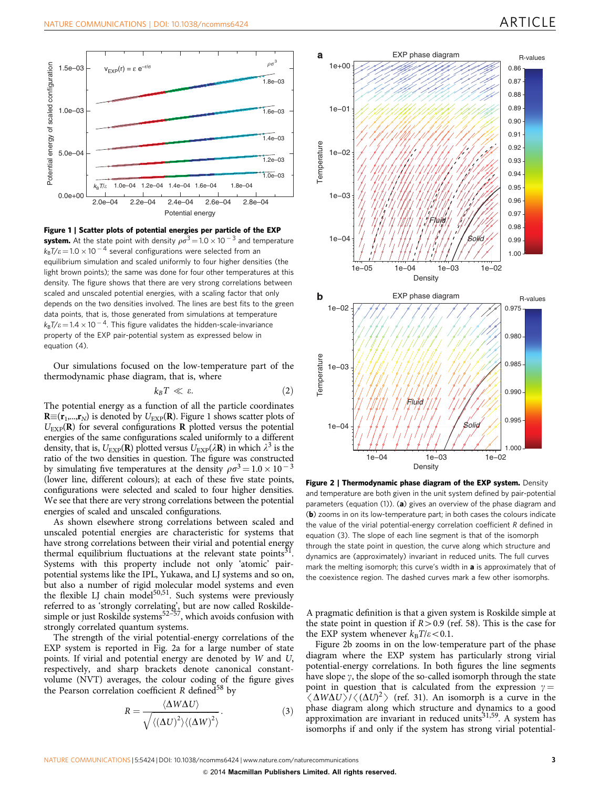<span id="page-2-0"></span>

Figure 1 | Scatter plots of potential energies per particle of the EXP **system.** At the state point with density  $\rho\sigma^3\!=\!1.0\times10^{-3}$  and temperature  $k_{\text{B}}$ T/ $\varepsilon$   $=$  1.0  $\times$  10  $^{-4}$  several configurations were selected from an equilibrium simulation and scaled uniformly to four higher densities (the light brown points); the same was done for four other temperatures at this density. The figure shows that there are very strong correlations between scaled and unscaled potential energies, with a scaling factor that only depends on the two densities involved. The lines are best fits to the green data points, that is, those generated from simulations at temperature  $k_{\text{B}}$ T/ $\varepsilon$   $=$  1.4  $\times$  10  $^{-4}$ . This figure validates the hidden-scale-invariance property of the EXP pair-potential system as expressed below in equation  $(4)$ .

Our simulations focused on the low-temperature part of the thermodynamic phase diagram, that is, where

$$
k_B T \ll \varepsilon. \tag{2}
$$

The potential energy as a function of all the particle coordinates  $\mathbf{R}\equiv(\mathbf{r}_1,...,\mathbf{r}_N)$  is denoted by  $U_{\text{EXP}}(\mathbf{R})$ . Figure 1 shows scatter plots of  $U_{\text{EXP}}(\mathbf{R})$  for several configurations **R** plotted versus the potential energies of the same configurations scaled uniformly to a different density, that is,  $U_{\text{EXP}}(\mathbf{R})$  plotted versus  $U_{\text{EXP}}(\lambda \mathbf{R})$  in which  $\lambda^3$  is the ratio of the two densities in question. The figure was constructed by simulating five temperatures at the density  $\rho \sigma^3 = 1.0 \times 10^{-3}$ (lower line, different colours); at each of these five state points, configurations were selected and scaled to four higher densities. We see that there are very strong correlations between the potential energies of scaled and unscaled configurations.

As shown elsewhere strong correlations between scaled and unscaled potential energies are characteristic for systems that have strong correlations between their virial and potential energy thermal equilibrium fluctuations at the relevant state points<sup>31</sup>. Systems with this property include not only 'atomic' pairpotential systems like the IPL, Yukawa, and LJ systems and so on, but also a number of rigid molecular model systems and even the flexible LJ chain model<sup>[50,51](#page-6-0)</sup>. Such systems were previously referred to as 'strongly correlating', but are now called Roskilde-simple or just Roskilde systems<sup>[52–57](#page-6-0)</sup>, which avoids confusion with strongly correlated quantum systems.

The strength of the virial potential-energy correlations of the EXP system is reported in Fig. 2a for a large number of state points. If virial and potential energy are denoted by W and U, respectively, and sharp brackets denote canonical constantvolume (NVT) averages, the colour coding of the figure gives the Pearson correlation coefficient  $R$  defined<sup>[58](#page-6-0)</sup> by

$$
R = \frac{\langle \Delta W \Delta U \rangle}{\sqrt{\langle (\Delta U)^2 \rangle \langle (\Delta W)^2 \rangle}}.
$$
 (3)



Figure 2 | Thermodynamic phase diagram of the EXP system. Density and temperature are both given in the unit system defined by pair-potential parameters (equation  $(1)$ ). (a) gives an overview of the phase diagram and (b) zooms in on its low-temperature part; in both cases the colours indicate the value of the virial potential-energy correlation coefficient R defined in equation (3). The slope of each line segment is that of the isomorph through the state point in question, the curve along which structure and dynamics are (approximately) invariant in reduced units. The full curves mark the melting isomorph; this curve's width in **a** is approximately that of the coexistence region. The dashed curves mark a few other isomorphs.

A pragmatic definition is that a given system is Roskilde simple at the state point in question if  $R > 0.9$  [\(ref. 58](#page-6-0)). This is the case for the EXP system whenever  $k_B T/\varepsilon < 0.1$ .

Figure 2b zooms in on the low-temperature part of the phase diagram where the EXP system has particularly strong virial potential-energy correlations. In both figures the line segments have slope  $\gamma$ , the slope of the so-called isomorph through the state point in question that is calculated from the expression  $\gamma =$  $\langle \Delta W \Delta U \rangle / \langle (\Delta U)^2 \rangle$  [\(ref. 31\)](#page-5-0). An isomorph is a curve in the phase diagram along which structure and dynamics to a good phase diagram along which structure and dynamics to a good approximation are invariant in reduced units<sup>31,59</sup>. A system has isomorphs if and only if the system has strong virial potential-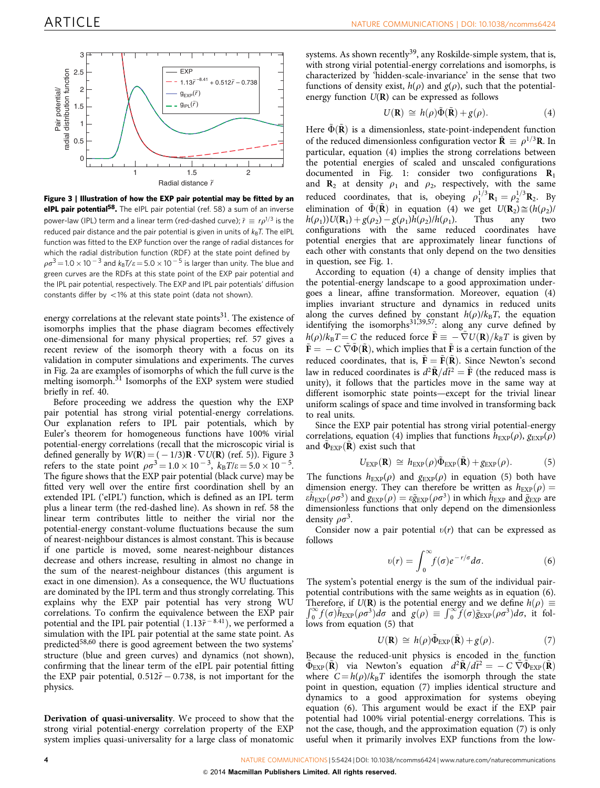

Figure 3 | Illustration of how the EXP pair potential may be fitted by an eIPL pair potential<sup>58</sup>. The eIPL pair potential [\(ref. 58\)](#page-6-0) a sum of an inverse power-law (IPL) term and a linear term (red-dashed curve);  $\tilde{r} \equiv r \rho^{1/3}$  is the reduced pair distance and the pair potential is given in units of  $k_B T$ . The eIPL function was fitted to the EXP function over the range of radial distances for which the radial distribution function (RDF) at the state point defined by  $\rho\sigma^3\!=\!1.0\times10^{-3}$  and  $k_{\rm B}$ T/ $\varepsilon\!=\!5.0\times10^{-5}$  is larger than unity. The blue and green curves are the RDFs at this state point of the EXP pair potential and the IPL pair potential, respectively. The EXP and IPL pair potentials' diffusion constants differ by  $\langle 1\%$  at this state point (data not shown).

energy correlations at the relevant state points $31$ . The existence of isomorphs implies that the phase diagram becomes effectively one-dimensional for many physical properties; [ref. 57](#page-6-0) gives a recent review of the isomorph theory with a focus on its validation in computer simulations and experiments. The curves in [Fig. 2a](#page-2-0) are examples of isomorphs of which the full curve is the melting isomorph.<sup>[31](#page-5-0)</sup> Isomorphs of the EXP system were studied briefly in [ref. 40.](#page-6-0)

Before proceeding we address the question why the EXP pair potential has strong virial potential-energy correlations. Our explanation refers to IPL pair potentials, which by Euler's theorem for homogeneous functions have 100% virial potential-energy correlations (recall that the microscopic virial is defined generally by  $W(\mathbf{R}) = (-1/3)\mathbf{R} \cdot \nabla U(\mathbf{R})$  [\(ref. 5\)](#page-5-0)). Figure 3 refers to the state point  $\rho \sigma^3 = 1.0 \times 10^{-3}$ ,  $k_B T / \varepsilon = 5.0 \times 10^{-5}$ . The figure shows that the EXP pair potential (black curve) may be fitted very well over the entire first coordination shell by an extended IPL ('eIPL') function, which is defined as an IPL term plus a linear term (the red-dashed line). As shown in [ref. 58](#page-6-0) the linear term contributes little to neither the virial nor the potential-energy constant-volume fluctuations because the sum of nearest-neighbour distances is almost constant. This is because if one particle is moved, some nearest-neighbour distances decrease and others increase, resulting in almost no change in the sum of the nearest-neighbour distances (this argument is exact in one dimension). As a consequence, the WU fluctuations are dominated by the IPL term and thus strongly correlating. This explains why the EXP pair potential has very strong WU correlations. To confirm the equivalence between the EXP pair potential and the IPL pair potential  $(1.13\tilde{r}^{-8.41})$ , we performed a simulation with the IPL pair potential at the same state point. As predicted[58,60](#page-6-0) there is good agreement between the two systems' structure (blue and green curves) and dynamics (not shown), confirming that the linear term of the eIPL pair potential fitting the EXP pair potential,  $0.512\tilde{r} - 0.738$ , is not important for the physics.

Derivation of quasi-universality. We proceed to show that the strong virial potential-energy correlation property of the EXP system implies quasi-universality for a large class of monatomic systems. As shown recently<sup>39</sup>, any Roskilde-simple system, that is, with strong virial potential-energy correlations and isomorphs, is characterized by 'hidden-scale-invariance' in the sense that two functions of density exist,  $h(\rho)$  and  $g(\rho)$ , such that the potentialenergy function  $U(\mathbf{R})$  can be expressed as follows

$$
U(\mathbf{R}) \cong h(\rho)\tilde{\Phi}(\tilde{\mathbf{R}}) + g(\rho). \tag{4}
$$

Here  $\Phi(\mathbf{R})$  is a dimensionless, state-point-independent function of the reduced dimensionless configuration vector  $\tilde{\mathbf{R}} \equiv \rho^{1/3}\mathbf{R}$ . In particular, equation (4) implies the strong correlations between the potential energies of scaled and unscaled configurations documented in [Fig. 1:](#page-2-0) consider two configurations  $\mathbf{R}_1$ and  $\mathbf{R}_2$  at density  $\rho_1$  and  $\rho_2$ , respectively, with the same reduced coordinates, that is, obeying  $\rho_1^{1/3}$ **R**<sub>1</sub> =  $\rho_2^{1/3}$ **R**<sub>2</sub>. By elimination of  $\tilde{\Phi}(\tilde{\mathbf{R}})$  in equation (4) we get  $U(\mathbf{R}_2) \cong (h(\rho_2)/h(\rho_1))U(\mathbf{R}_1) + g(\rho_2) - g(\rho_1)h(\rho_2)/h(\rho_1)$ . Thus any two  $h(\rho_1))U(\mathbf{R}_1) + g(\rho_2) - g(\rho_1)h(\rho_2)/h(\rho_1)$ . Thus any two configurations with the same reduced coordinates have potential energies that are approximately linear functions of each other with constants that only depend on the two densities in question, see [Fig. 1.](#page-2-0)

According to equation (4) a change of density implies that the potential-energy landscape to a good approximation undergoes a linear, affine transformation. Moreover, equation (4) implies invariant structure and dynamics in reduced units along the curves defined by constant  $h(\rho)/k_BT$ , the equation identifying the isomorphs<sup>31,39,57</sup>: along any curve defined by  $h(\rho)/k_B T = C$  the reduced force  $\tilde{\mathbf{F}} \equiv -\tilde{\nabla}U(\mathbf{R})/k_B T$  is given by  ${\tilde {\bf F}} = {}-C~\tilde{\nabla} \tilde{\Phi}(\tilde{\bf R}),$  which implies that  ${\tilde {\bf F}}$  is a certain function of the reduced coordinates, that is,  $\tilde{F} = \tilde{F}(\tilde{R})$ . Since Newton's second law in reduced coordinates is  $d^2 \tilde{\mathbf{R}}/d\tilde{t}^2 = \tilde{\mathbf{F}}$  (the reduced mass is unity), it follows that the particles move in the same way at different isomorphic state points—except for the trivial linear uniform scalings of space and time involved in transforming back to real units.

Since the EXP pair potential has strong virial potential-energy correlations, equation (4) implies that functions  $h_{\text{EXP}}(\rho)$ ,  $g_{\text{EXP}}(\rho)$ and  $\Phi_{\text{EXP}}(\mathbf{R})$  exist such that

$$
U_{\text{EXP}}(\mathbf{R}) \,\cong\, h_{\text{EXP}}(\rho)\tilde{\Phi}_{\text{EXP}}(\tilde{\mathbf{R}}) + g_{\text{EXP}}(\rho). \tag{5}
$$

The functions  $h_{\text{EXP}}(\rho)$  and  $g_{\text{EXP}}(\rho)$  in equation (5) both have dimension energy. They can therefore be written as  $h_{\text{EXP}}(\rho) =$  $\epsilon \tilde{h}_{\rm EXP}(\rho \sigma^3)$  and  $g_{\rm EXP}(\rho) = \epsilon \tilde{g}_{\rm EXP}(\rho \sigma^3)$  in which  $\tilde{h}_{\rm EXP}$  and  $\tilde{g}_{\rm EXP}$  are dimensionless functions that only depend on the dimensionless density  $\rho \sigma^3$ .

Consider now a pair potential  $v(r)$  that can be expressed as follows

$$
v(r) = \int_0^\infty f(\sigma) e^{-r/\sigma} d\sigma.
$$
 (6)

The system's potential energy is the sum of the individual pairpotential contributions with the same weights as in equation (6). Therefore, if  $U(\mathbf{R})$  is the potential energy and we define  $h(\rho) \equiv \int_0^\infty f(\sigma) \tilde{h}_{\text{EXP}}(\rho \sigma^3) d\sigma$  and  $g(\rho) \equiv \int_0^\infty f(\sigma) \tilde{g}_{\text{EXP}}(\rho \sigma^3) d\sigma$ , it follows from equation (5) that

$$
U(\mathbf{R}) \cong h(\rho)\tilde{\Phi}_{\rm EXP}(\tilde{\mathbf{R}}) + g(\rho). \tag{7}
$$

Because the reduced-unit physics is encoded in the function  $\tilde{\Phi}_{\rm EXP}(\tilde{\mathbf{R}})$  via Newton's equation  $d^2\tilde{\mathbf{R}}/d\tilde{t}^2 = -C\ \tilde{\nabla}\tilde{\Phi}_{\rm EXP}(\tilde{\mathbf{R}})$ where  $C = h(\rho)/k_BT$  identifes the isomorph through the state point in question, equation (7) implies identical structure and dynamics to a good approximation for systems obeying equation (6). This argument would be exact if the EXP pair potential had 100% virial potential-energy correlations. This is not the case, though, and the approximation equation (7) is only useful when it primarily involves EXP functions from the low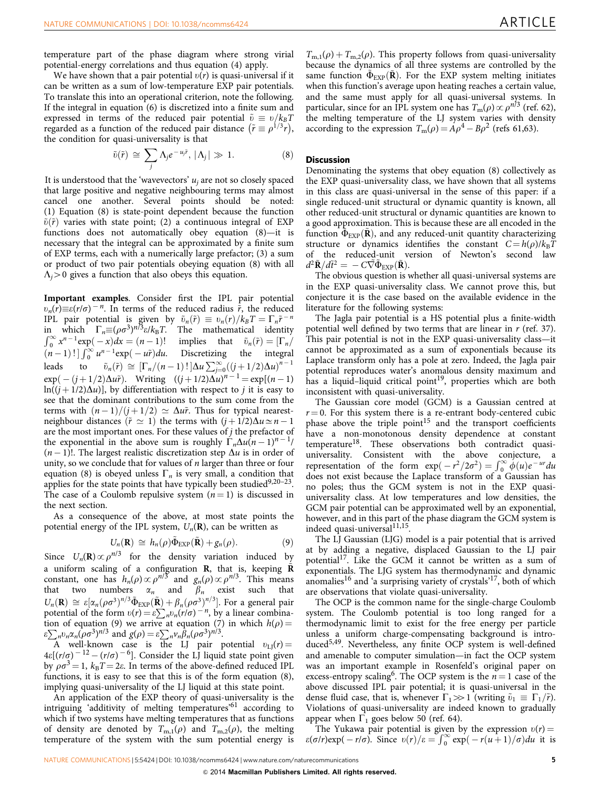temperature part of the phase diagram where strong virial potential-energy correlations and thus equation (4) apply.

We have shown that a pair potential  $v(r)$  is quasi-universal if it can be written as a sum of low-temperature EXP pair potentials. To translate this into an operational criterion, note the following. If the integral in equation (6) is discretized into a finite sum and expressed in terms of the reduced pair potential  $\tilde{v} \equiv v/k_BT$ regarded as a function of the reduced pair distance  $(\tilde{r} \equiv \rho^{1/3}r)$ , the condition for quasi-universality is that

$$
\tilde{v}(\tilde{r}) \cong \sum_{j} \Lambda_{j} e^{-u_{j}\tilde{r}}, |\Lambda_{j}| \gg 1.
$$
 (8)

It is understood that the 'wavevectors'  $u_i$  are not so closely spaced that large positive and negative neighbouring terms may almost cancel one another. Several points should be noted: (1) Equation (8) is state-point dependent because the function  $\tilde{v}(\tilde{r})$  varies with state point; (2) a continuous integral of EXP functions does not automatically obey equation (8)—it is necessary that the integral can be approximated by a finite sum of EXP terms, each with a numerically large prefactor; (3) a sum or product of two pair potentials obeying equation (8) with all  $\Lambda_i$  > 0 gives a function that also obeys this equation.

Important examples. Consider first the IPL pair potential  $v_n(r) \equiv \varepsilon(r/\sigma)^{-n}$ . In terms of the reduced radius  $\tilde{r}$ , the reduced IPL pair potential is given by  $\tilde{v}_n(\tilde{r}) \equiv v_n(r)/k_B T = \Gamma_n \tilde{r}^{-n}$ in which  $\Gamma_n \equiv (\rho \sigma^3)^{n/3} \varepsilon / k_B T$ . The mathematical identity<br>  $\int_0^\infty x^{n-1} \exp(-x) dx = (n-1)!$  implies that  $\tilde{v}_n(\tilde{r}) = [\Gamma_n/n]$  $(n-1)! \int_0^\infty u^{n-1} \exp(-u\tilde{r}) du$ . Discretizing the integral leads to  $\tilde{v}_n(\tilde{r}) \cong [\Gamma_n/(n-1) : ]\Delta u \sum_{j=0}^{\infty} ((j+1/2)\Delta u)^{n-1}$  $\exp(-(j+1/2)\Delta u\tilde{r})$ . Writing  $((j+1/2)\Delta u)^{n-1} = \exp[(n-1)$  $ln((j + 1/2)\Delta u)$ , by differentiation with respect to j it is easy to see that the dominant contributions to the sum come from the terms with  $(n-1)/(j+1/2) \simeq \Delta u \tilde{r}$ . Thus for typical nearestneighbour distances  $(\tilde{r} \simeq 1)$  the terms with  $(j + 1/2)\Delta u \simeq n - 1$ are the most important ones. For these values of  $j$  the prefactor of the exponential in the above sum is roughly  $\Gamma_n\Delta u(n - 1)^{n - 1}/n$  $(n-1)!$ . The largest realistic discretization step  $\Delta u$  is in order of unity, so we conclude that for values of  $n$  larger than three or four equation (8) is obeyed unless  $\Gamma_n$  is very small, a condition that applies for the state points that have typically been studied $9,20-23$ . The case of a Coulomb repulsive system  $(n = 1)$  is discussed in the next section.

As a consequence of the above, at most state points the potential energy of the IPL system,  $U_n(\mathbf{R})$ , can be written as

$$
U_n(\mathbf{R}) \cong h_n(\rho)\tilde{\Phi}_{\text{EXP}}(\tilde{\mathbf{R}}) + g_n(\rho).
$$
 (9)

Since  $U_n(\mathbf{R})\propto\rho^{n/3}$  for the density variation induced by a uniform scaling of a configuration R, that is, keeping  $\tilde{R}$ constant, one has  $h_n(\rho) \propto \rho^{n/3}$  and  $g_n(\rho) \propto \rho^{n/3}$ . This means that two numbers  $\alpha_n$  and  $\beta_n$  exist such that  $U_n(\mathbf{R}) \cong \varepsilon [\alpha_n(\rho\sigma^3)^{n/3} \tilde{\Phi}_{\rm EXP}(\tilde{\mathbf{R}}) + \beta_n(\rho\sigma^3)^{n/3}]$ . For a general pair potential of the form  $v(r) = \varepsilon \sum_{n} v_n(r/\sigma)^{-n}$ , by a linear combination of equation (9) we arrive at equation (7) in which  $h(\rho) =$  $\sum_{n} p_n \alpha_n (\rho \sigma^3)^{n/3}$  and  $g(\rho) = \varepsilon \sum_{n} p_n \beta_n (\rho \sigma^3)^{n/3}$ .

A well-known case is the LJ pair potential  $v_{LJ}(r) =$  $4\varepsilon[(r/\sigma)^{-12} - (r/\sigma)^{-6}]$ . Consider the LJ liquid state point given by  $\rho \sigma^3 = 1$ ,  $k_B T = 2\varepsilon$ . In terms of the above-defined reduced IPL functions, it is easy to see that this is of the form equation (8), implying quasi-universality of the LJ liquid at this state point.

An application of the EXP theory of quasi-universality is the intriguing 'additivity of melting temperatures'[61](#page-6-0) according to which if two systems have melting temperatures that as functions of density are denoted by  $T_{m,1}(\rho)$  and  $T_{m,2}(\rho)$ , the melting temperature of the system with the sum potential energy is

 $T_{m,1}(\rho) + T_{m,2}(\rho)$ . This property follows from quasi-universality because the dynamics of all three systems are controlled by the same function  $\Phi_{EXP}(\tilde{\mathbf{R}})$ . For the EXP system melting initiates when this function's average upon heating reaches a certain value, and the same must apply for all quasi-universal systems. In particular, since for an IPL system one has  $T_m(\rho) \propto \rho^{n/3}$  [\(ref. 62](#page-6-0)), the melting temperature of the LJ system varies with density according to the expression  $T_m(\rho) = A\rho^4 - B\rho^2$  [\(refs 61,63](#page-6-0)).

## **Discussion**

Denominating the systems that obey equation (8) collectively as the EXP quasi-universality class, we have shown that all systems in this class are quasi-universal in the sense of this paper: if a single reduced-unit structural or dynamic quantity is known, all other reduced-unit structural or dynamic quantities are known to a good approximation. This is because these are all encoded in the function  $\tilde{\Phi}_{EXP}(\tilde{\mathbf{R}})$ , and any reduced-unit quantity characterizing structure or dynamics identifies the constant  $C = h(\rho)/k_BT$ of the reduced-unit version of Newton's second law  $d^2\tilde{\mathbf{R}}/d\tilde{t}^2 = -C\tilde{\nabla}\tilde{\Phi}_{\text{EXP}}(\tilde{\mathbf{R}}).$ 

The obvious question is whether all quasi-universal systems are in the EXP quasi-universality class. We cannot prove this, but conjecture it is the case based on the available evidence in the literature for the following systems:

The Jagla pair potential is a HS potential plus a finite-width potential well defined by two terms that are linear in  $r$  ([ref. 37](#page-5-0)). This pair potential is not in the EXP quasi-universality class—it cannot be approximated as a sum of exponentials because its Laplace transform only has a pole at zero. Indeed, the Jagla pair potential reproduces water's anomalous density maximum and has a liquid–liquid critical point<sup>19</sup>, properties which are both inconsistent with quasi-universality.

The Gaussian core model (GCM) is a Gaussian centred at  $r = 0$ . For this system there is a re-entrant body-centered cubic phase above the triple point<sup>[15](#page-5-0)</sup> and the transport coefficients have a non-monotonous density dependence at constant temperature[18.](#page-5-0) These observations both contradict quasiuniversality. Consistent with the above conjecture, a representation of the form  $\exp(-r^2/2\sigma^2) = \int_0^\infty \phi(u)e^{-ur}du$ does not exist because the Laplace transform of a Gaussian has no poles; thus the GCM system is not in the EXP quasiuniversality class. At low temperatures and low densities, the GCM pair potential can be approximated well by an exponential, however, and in this part of the phase diagram the GCM system is indeed quasi-universal<sup>11,15</sup>.

The LJ Gaussian (LJG) model is a pair potential that is arrived at by adding a negative, displaced Gaussian to the LJ pair potential<sup>[17](#page-5-0)</sup>. Like the GCM it cannot be written as a sum of exponentials. The LJG system has thermodynamic and dynamic anomalies<sup>[16](#page-5-0)</sup> and 'a surprising variety of crystals'<sup>17</sup>, both of which are observations that violate quasi-universality.

The OCP is the common name for the single-charge Coulomb system. The Coulomb potential is too long ranged for a thermodynamic limit to exist for the free energy per particle unless a uniform charge-compensating background is introduced<sup>5,49</sup>. Nevertheless, any finite OCP system is well-defined and amenable to computer simulation—in fact the OCP system was an important example in Rosenfeld's original paper on excess-entropy scaling<sup>6</sup>. The OCP system is the  $n = 1$  case of the above discussed IPL pair potential; it is quasi-universal in the dense fluid case, that is, whenever  $\Gamma_1 \gg 1$  (writing  $\tilde{v}_1 \equiv \Gamma_1/\tilde{r}$ ). Violations of quasi-universality are indeed known to gradually appear when  $\Gamma_1$  goes below 50 [\(ref. 64\)](#page-6-0).

The Yukawa pair potential is given by the expression  $v(r)$  = Find Tukawa pair potential is given by the expression  $v(r) = \varepsilon(\sigma/r) \exp(-r/\sigma)$ . Since  $v(r)/\varepsilon = \int_0^\infty \exp(-r(u+1)/\sigma) du$  it is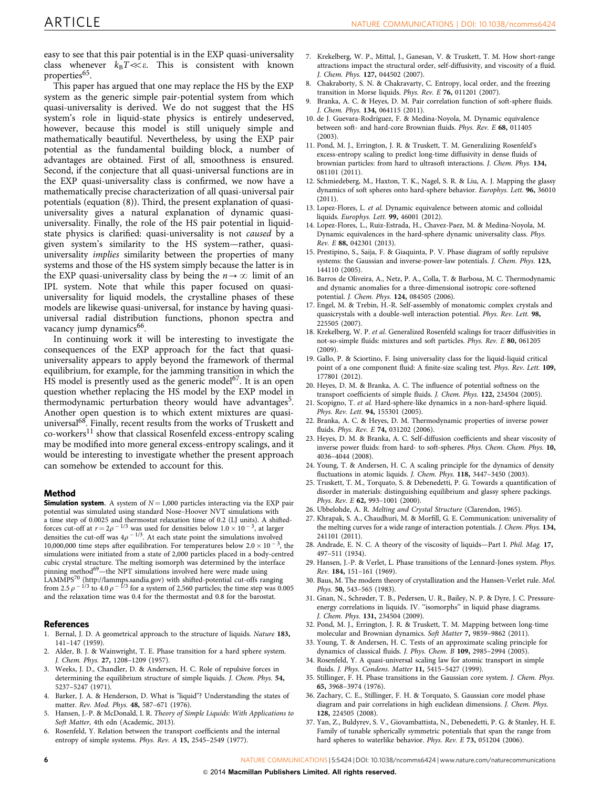<span id="page-5-0"></span>easy to see that this pair potential is in the EXP quasi-universality class whenever  $k_{\text{B}}T \ll \varepsilon$ . This is consistent with known properties<sup>[65](#page-6-0)</sup>.

This paper has argued that one may replace the HS by the EXP system as the generic simple pair-potential system from which quasi-universality is derived. We do not suggest that the HS system's role in liquid-state physics is entirely undeserved, however, because this model is still uniquely simple and mathematically beautiful. Nevertheless, by using the EXP pair potential as the fundamental building block, a number of advantages are obtained. First of all, smoothness is ensured. Second, if the conjecture that all quasi-universal functions are in the EXP quasi-universality class is confirmed, we now have a mathematically precise characterization of all quasi-universal pair potentials (equation (8)). Third, the present explanation of quasiuniversality gives a natural explanation of dynamic quasiuniversality. Finally, the role of the HS pair potential in liquidstate physics is clarified: quasi-universality is not caused by a given system's similarity to the HS system—rather, quasiuniversality *implies* similarity between the properties of many systems and those of the HS system simply because the latter is in the EXP quasi-universality class by being the  $n \rightarrow \infty$  limit of an IPL system. Note that while this paper focused on quasiuniversality for liquid models, the crystalline phases of these models are likewise quasi-universal, for instance by having quasiuniversal radial distribution functions, phonon spectra and vacancy jump dynamics<sup>[66](#page-6-0)</sup>.

In continuing work it will be interesting to investigate the consequences of the EXP approach for the fact that quasiuniversality appears to apply beyond the framework of thermal equilibrium, for example, for the jamming transition in which the HS model is presently used as the generic model $67$ . It is an open question whether replacing the HS model by the EXP model in thermodynamic perturbation theory would have advantages<sup>5</sup>. Another open question is to which extent mixtures are quasi-universal<sup>[68](#page-6-0)</sup>. Finally, recent results from the works of Truskett and co-workers $^{11}$  show that classical Rosenfeld excess-entropy scaling may be modified into more general excess-entropy scalings, and it would be interesting to investigate whether the present approach can somehow be extended to account for this.

#### Method

**Simulation system.** A system of  $N = 1,000$  particles interacting via the EXP pair potential was simulated using standard Nose–Hoover NVT simulations with a time step of 0.0025 and thermostat relaxation time of 0.2 (LJ units). A shiftedforces cut-off at  $r = 2\rho^{-1/3}$  was used for densities below  $1.0 \times 10^{-3}$ , at larger densities the cut-off was  $4\rho$   $^{-1/3}$ . At each state point the simulations involved 10,000,000 time steps after equilibration. For temperatures below  $2.0 \times 10^{-3}$ , the simulations were initiated from a state of 2,000 particles placed in a body-centred cubic crystal structure. The melting isomorph was determined by the interface pinning method<sup>[69](#page-6-0)</sup>—the NPT simulations involved here were made using LAMMPS[70](#page-6-0) [\(http://lammps.sandia.gov](http://lammps.sandia.gov)) with shifted-potential cut-offs ranging from 2.5  $\rho$   $^{-1/3}$  to 4.0  $\rho$   $^{-1/3}$  for a system of 2,560 particles; the time step was 0.005 and the relaxation time was 0.4 for the thermostat and 0.8 for the barostat.

#### References

- 1. Bernal, J. D. A geometrical approach to the structure of liquids. Nature 183, 141–147 (1959).
- 2. Alder, B. J. & Wainwright, T. E. Phase transition for a hard sphere system. J. Chem. Phys. 27, 1208–1209 (1957).
- 3. Weeks, J. D., Chandler, D. & Andersen, H. C. Role of repulsive forces in determining the equilibrium structure of simple liquids. J. Chem. Phys. 54, 5237–5247 (1971).
- 4. Barker, J. A. & Henderson, D. What is "liquid"? Understanding the states of matter. Rev. Mod. Phys. 48, 587–671 (1976).
- 5. Hansen, J.-P. & McDonald, I. R. Theory of Simple Liquids: With Applications to Soft Matter, 4th edn (Academic, 2013).
- 6. Rosenfeld, Y. Relation between the transport coefficients and the internal entropy of simple systems. Phys. Rev. A 15, 2545–2549 (1977).
- 7. Krekelberg, W. P., Mittal, J., Ganesan, V. & Truskett, T. M. How short-range attractions impact the structural order, self-diffusivity, and viscosity of a fluid. J. Chem. Phys. 127, 044502 (2007).
- 8. Chakraborty, S. N. & Chakravarty, C. Entropy, local order, and the freezing transition in Morse liquids. Phys. Rev. E 76, 011201 (2007).
- 9. Branka, A. C. & Heyes, D. M. Pair correlation function of soft-sphere fluids. J. Chem. Phys. 134, 064115 (2011).
- 10. de J. Guevara-Rodríguez, F. & Medina-Noyola, M. Dynamic equivalence between soft- and hard-core Brownian fluids. Phys. Rev. E 68, 011405  $(2003)$
- 11. Pond, M. J., Errington, J. R. & Truskett, T. M. Generalizing Rosenfeld's excess-entropy scaling to predict long-time diffusivity in dense fluids of brownian particles: from hard to ultrasoft interactions. J. Chem. Phys. 134, 081101 (2011).
- 12. Schmiedeberg, M., Haxton, T. K., Nagel, S. R. & Liu, A. J. Mapping the glassy dynamics of soft spheres onto hard-sphere behavior. Europhys. Lett. 96, 36010 (2011).
- 13. Lopez-Flores, L. et al. Dynamic equivalence between atomic and colloidal liquids. Europhys. Lett. 99, 46001 (2012).
- 14. Lopez-Flores, L., Ruiz-Estrada, H., Chavez-Paez, M. & Medina-Noyola, M. Dynamic equivalences in the hard-sphere dynamic universality class. Phys. Rev. E 88, 042301 (2013).
- 15. Prestipino, S., Saija, F. & Giaquinta, P. V. Phase diagram of softly repulsive systems: the Gaussian and inverse-power-law potentials. J. Chem. Phys. 123, 144110 (2005).
- 16. Barros de Oliveira, A., Netz, P. A., Colla, T. & Barbosa, M. C. Thermodynamic and dynamic anomalies for a three-dimensional isotropic core-softened potential. J. Chem. Phys. 124, 084505 (2006).
- 17. Engel, M. & Trebin, H.-R. Self-assembly of monatomic complex crystals and quasicrystals with a double-well interaction potential. Phys. Rev. Lett. 98, 225505 (2007).
- 18. Krekelberg, W. P. et al. Generalized Rosenfeld scalings for tracer diffusivities in not-so-simple fluids: mixtures and soft particles. Phys. Rev. E 80, 061205 (2009).
- 19. Gallo, P. & Sciortino, F. Ising universality class for the liquid-liquid critical point of a one component fluid: A finite-size scaling test. Phys. Rev. Lett. 109, 177801 (2012).
- 20. Heyes, D. M. & Branka, A. C. The influence of potential softness on the transport coefficients of simple fluids. J. Chem. Phys. 122, 234504 (2005).
- 21. Scopigno, T. et al. Hard-sphere-like dynamics in a non-hard-sphere liquid. Phys. Rev. Lett. 94, 155301 (2005).
- 22. Branka, A. C. & Heyes, D. M. Thermodynamic properties of inverse power fluids. Phys. Rev. E 74, 031202 (2006).
- 23. Heyes, D. M. & Branka, A. C. Self-diffusion coefficients and shear viscosity of inverse power fluids: from hard- to soft-spheres. Phys. Chem. Chem. Phys. 10, 4036–4044 (2008).
- 24. Young, T. & Andersen, H. C. A scaling principle for the dynamics of density fluctuations in atomic liquids. J. Chem. Phys. 118, 3447–3450 (2003).
- 25. Truskett, T. M., Torquato, S. & Debenedetti, P. G. Towards a quantification of disorder in materials: distinguishing equilibrium and glassy sphere packings. Phys. Rev. E 62, 993–1001 (2000).
- 26. Ubbelohde, A. R. Melting and Crystal Structure (Clarendon, 1965).
- 27. Khrapak, S. A., Chaudhuri, M. & Morfill, G. E. Communication: universality of the melting curves for a wide range of interaction potentials. J. Chem. Phys. 134, 241101 (2011).
- 28. Andrade, E. N. C. A theory of the viscosity of liquids—Part I. Phil. Mag. 17, 497–511 (1934).
- 29. Hansen, J.-P. & Verlet, L. Phase transitions of the Lennard-Jones system. Phys. Rev. 184, 151–161 (1969).
- 30. Baus, M. The modern theory of crystallization and the Hansen-Verlet rule. Mol. Phys. 50, 543–565 (1983).
- 31. Gnan, N., Schrøder, T. B., Pedersen, U. R., Bailey, N. P. & Dyre, J. C. Pressureenergy correlations in liquids. IV. ''isomorphs'' in liquid phase diagrams. J. Chem. Phys. 131, 234504 (2009).
- 32. Pond, M. J., Errington, J. R. & Truskett, T. M. Mapping between long-time molecular and Brownian dynamics. Soft Matter 7, 9859–9862 (2011).
- 33. Young, T. & Andersen, H. C. Tests of an approximate scaling principle for dynamics of classical fluids. J. Phys. Chem. B 109, 2985–2994 (2005).
- 34. Rosenfeld, Y. A quasi-universal scaling law for atomic transport in simple fluids. J. Phys. Condens. Matter 11, 5415–5427 (1999).
- 35. Stillinger, F. H. Phase transitions in the Gaussian core system. J. Chem. Phys. 65, 3968–3974 (1976).
- 36. Zachary, C. E., Stillinger, F. H. & Torquato, S. Gaussian core model phase diagram and pair correlations in high euclidean dimensions. J. Chem. Phys. 128, 224505 (2008).
- 37. Yan, Z., Buldyrev, S. V., Giovambattista, N., Debenedetti, P. G. & Stanley, H. E. Family of tunable spherically symmetric potentials that span the range from hard spheres to waterlike behavior. Phys. Rev. E 73, 051204 (2006).